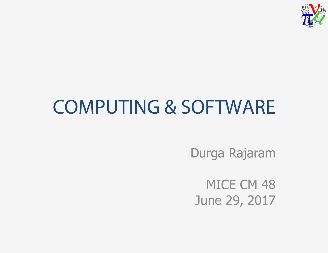

# COMPUTING & SOFTWARE

Durga Rajaram

MICE CM 48 June 29, 2017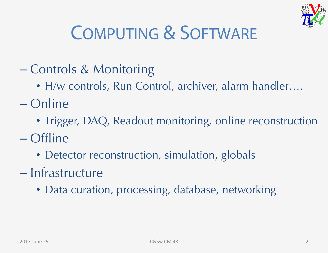

## COMPUTING & SOFTWARE

- Controls & Monitoring
	- H/w controls, Run Control, archiver, alarm handler....
- Online
	- Trigger, DAQ, Readout monitoring, online reconstruction
- Offline
	- Detector reconstruction, simulation, globals
- Infrastructure
	- Data curation, processing, database, networking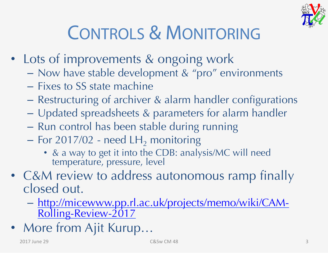

# CONTROLS & MONITORING

- Lots of improvements & ongoing work
	- Now have stable development & "pro" environments
	- Fixes to SS state machine
	- Restructuring of archiver & alarm handler configurations
	- Updated spreadsheets & parameters for alarm handler
	- Run control has been stable during running
	- $-$  For 2017/02 need LH<sub>2</sub> monitoring
		- & a way to get it into the CDB: analysis/MC will need temperature, pressure, level
- C&M review to address autonomous ramp finally closed out.
	- http://micewww.pp.rl.ac.uk/projects/memo/wiki/CAM-Rolling-Review-2017
- More from Ajit Kurup...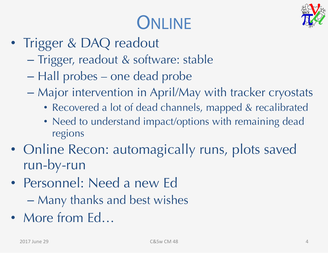# ONLINE



- Trigger & DAQ readout
	- Trigger, readout & software: stable
	- Hall probes one dead probe
	- Major intervention in April/May with tracker cryostats
		- Recovered a lot of dead channels, mapped & recalibrated
		- Need to understand impact/options with remaining dead regions
- Online Recon: automagically runs, plots saved run-by-run
- Personnel: Need a new Ed
	- Many thanks and best wishes
- More from Ed...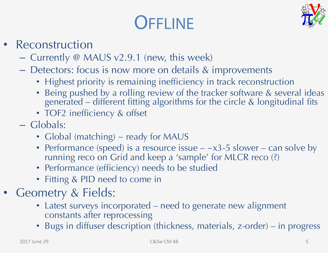# **OFFLINE**



#### **Reconstruction**

- Currently @ MAUS v2.9.1 (new, this week)
- Detectors: focus is now more on details & improvements
	- Highest priority is remaining inefficiency in track reconstruction
	- Being pushed by a rolling review of the tracker software & several ideas generated – different fitting algorithms for the circle & longitudinal fits
	- TOF2 inefficiency & offset
- Globals:
	- Global (matching) ~ ready for MAUS
	- Performance (speed) is a resource issue  $-\infty$ 3-5 slower can solve by running reco on Grid and keep a 'sample' for MLCR reco (?)
	- Performance (efficiency) needs to be studied
	- Fitting & PID need to come in
- Geometry & Fields:
	- Latest surveys incorporated need to generate new alignment constants after reprocessing
	- Bugs in diffuser description (thickness, materials, z-order) in progress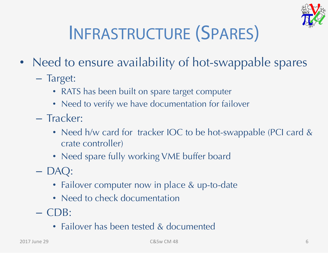

# INFRASTRUCTURE (SPARES)

- Need to ensure availability of hot-swappable spares
	- Target:
		- RATS has been built on spare target computer
		- Need to verify we have documentation for failover
	- Tracker:
		- Need h/w card for tracker IOC to be hot-swappable (PCI card & crate controller)
		- Need spare fully working VME buffer board
	- DAQ:
		- Failover computer now in place & up-to-date
		- Need to check documentation
	- CDB:
		- Failover has been tested & documented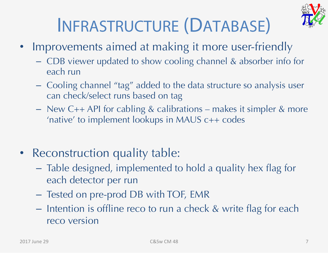

## INFRASTRUCTURE (DATABASE)

- Improvements aimed at making it more user-friendly
	- CDB viewer updated to show cooling channel & absorber info for each run
	- Cooling channel "tag" added to the data structure so analysis user can check/select runs based on tag
	- New C++ API for cabling & calibrations makes it simpler & more 'native' to implement lookups in MAUS c++ codes
- Reconstruction quality table:
	- Table designed, implemented to hold a quality hex flag for each detector per run
	- Tested on pre-prod DB with TOF, EMR
	- Intention is offline reco to run a check & write flag for each reco version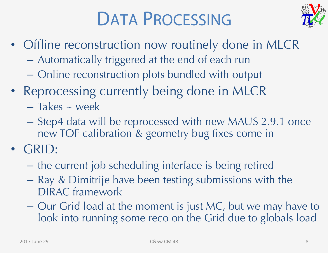# DATA PROCESSING



- Offline reconstruction now routinely done in MLCR
	- Automatically triggered at the end of each run
	- Online reconstruction plots bundled with output
- Reprocessing currently being done in MLCR
	- Takes ~ week
	- Step4 data will be reprocessed with new MAUS 2.9.1 once new TOF calibration & geometry bug fixes come in
- GRID:
	- the current job scheduling interface is being retired
	- Ray & Dimitrije have been testing submissions with the DIRAC framework
	- Our Grid load at the moment is just MC, but we may have to look into running some reco on the Grid due to globals load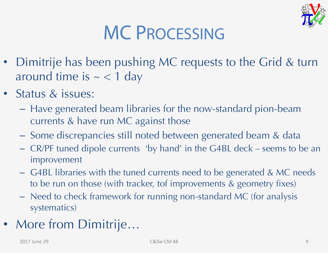

# MC PROCESSING

- Dimitrije has been pushing MC requests to the Grid & turn around time is  $\sim$  < 1 day
- Status & issues:
	- Have generated beam libraries for the now-standard pion-beam currents & have run MC against those
	- Some discrepancies still noted between generated beam & data
	- CR/PF tuned dipole currents 'by hand' in the G4BL deck seems to be an improvement
	- G4BL libraries with the tuned currents need to be generated & MC needs to be run on those (with tracker, tof improvements & geometry fixes)
	- Need to check framework for running non-standard MC (for analysis systematics)
- More from Dimitrije...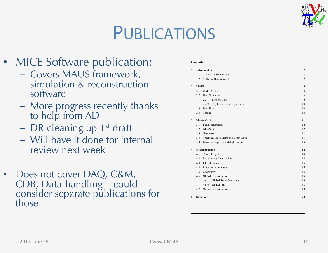

#### PUBLICATIONS

- MICE Software publication:
	- Covers MAUS framework, simulation & reconstruction software
	- More progress recently thanks to help from AD
	- $-$  DR cleaning up 1<sup>st</sup> draft
	- Will have it done for internal review next week
- Does not cover DAQ, C&M, CDB, Data-handling – could consider separate publications for those

#### **Contents**

| 1.           | Introduction          |                                       | $\boldsymbol{2}$ |
|--------------|-----------------------|---------------------------------------|------------------|
|              | 1.1                   | The MICE Experiment                   | $\overline{c}$   |
|              | 1.2                   | Software Requirements                 | $\overline{c}$   |
| 2.           | <b>MAUS</b>           |                                       | 3                |
|              | 2.1                   | Code Design                           | 3                |
|              | 2.2                   | Data Structure                        | 6                |
|              |                       | 2.2.1<br>Physics Data                 | 6                |
|              |                       | 2.2.2<br>Top Level Data Organisation  | 10               |
|              | 2.3                   | Data Flow                             | 10               |
|              | 2.4                   | Testing                               | 10               |
| 3.           |                       | <b>Monte Carlo</b>                    | 11               |
|              | 3.1                   | Beam generation                       | 12               |
|              | 3.2                   | GEANT4                                | 12               |
|              | 3.3                   | Geometry                              | 12               |
|              | 3.4                   | Tracking, Field Maps and Beam Optics  | 13               |
|              | 3.5                   | Detector response and digitization    | 13               |
| $\mathbf{4}$ | <b>Reconstruction</b> |                                       | 14               |
|              | 4.1                   | Time of flight                        | 14               |
|              | 4.2                   | Scintillating fiber trackers          | 14               |
|              | 4.3                   | KL calorimeter                        | 15               |
|              | 4.4                   | Electron-muon ranger                  | 15               |
|              | 4.5                   | Cherenkov                             | 15               |
|              | 4.6                   | Global reconstruction                 | 15               |
|              |                       | 4.6.1<br><b>Global Track Matching</b> | 16               |
|              |                       | Global PID<br>4.6.2                   | 16               |
|              | 4.7                   | Online reconstruction                 | 19               |
| 5.           | 20<br><b>Summary</b>  |                                       |                  |